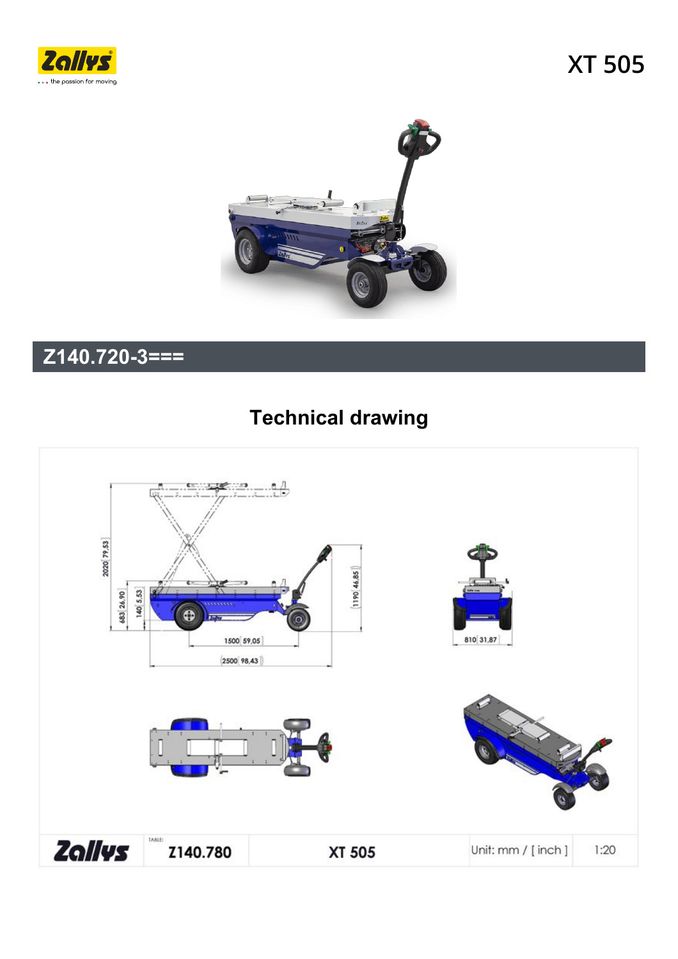



## $\overline{Z}$ 140.720-3===

## **Technical drawing**

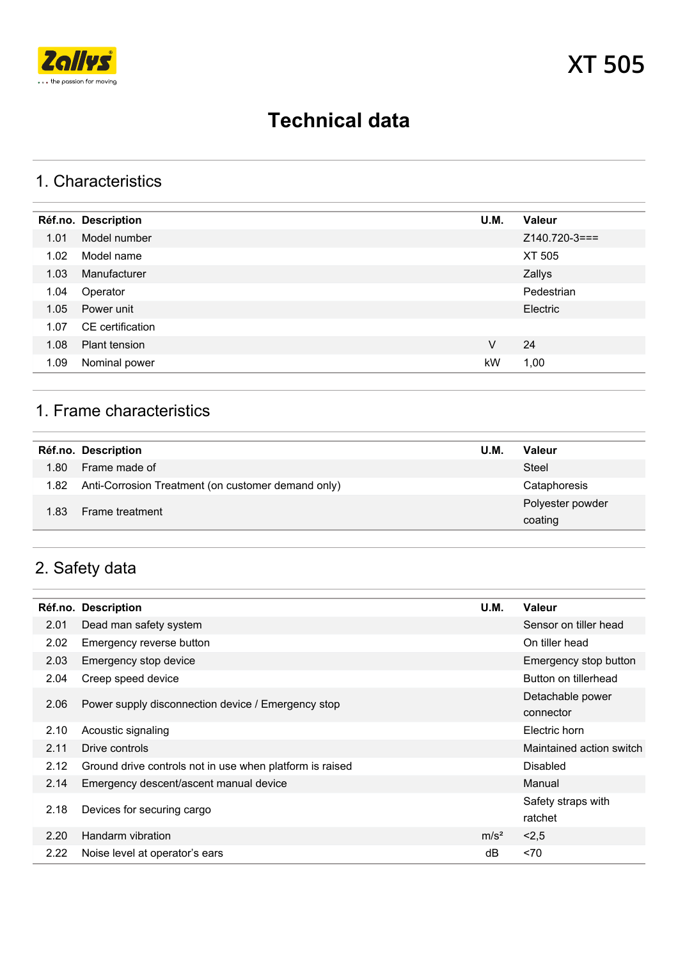

## **Technical data**

#### 1. Characteristics

|      | Réf.no. Description  | U.M. | <b>Valeur</b>  |
|------|----------------------|------|----------------|
| 1.01 | Model number         |      | $Z140.720-3==$ |
| 1.02 | Model name           |      | XT 505         |
| 1.03 | Manufacturer         |      | Zallys         |
| 1.04 | Operator             |      | Pedestrian     |
| 1.05 | Power unit           |      | Electric       |
| 1.07 | CE certification     |      |                |
| 1.08 | <b>Plant tension</b> | V    | 24             |
| 1.09 | Nominal power        | kW   | 1,00           |

#### 1. Frame characteristics

|      | Réf.no. Description                                     | <b>U.M.</b> | <b>Valeur</b>    |
|------|---------------------------------------------------------|-------------|------------------|
| 1.80 | Frame made of                                           |             | Steel            |
|      | 1.82 Anti-Corrosion Treatment (on customer demand only) |             | Cataphoresis     |
| 1.83 | <b>Frame treatment</b>                                  |             | Polyester powder |
|      |                                                         |             | coating          |

## 2. Safety data

|      | <b>Réf.no. Description</b>                               | U.M.             | <b>Valeur</b>            |
|------|----------------------------------------------------------|------------------|--------------------------|
| 2.01 | Dead man safety system                                   |                  | Sensor on tiller head    |
| 2.02 | Emergency reverse button                                 |                  | On tiller head           |
| 2.03 | Emergency stop device                                    |                  | Emergency stop button    |
| 2.04 | Creep speed device                                       |                  | Button on tillerhead     |
| 2.06 | Power supply disconnection device / Emergency stop       |                  | Detachable power         |
|      |                                                          |                  | connector                |
| 2.10 | Acoustic signaling                                       |                  | Electric horn            |
| 2.11 | Drive controls                                           |                  | Maintained action switch |
| 2.12 | Ground drive controls not in use when platform is raised |                  | <b>Disabled</b>          |
| 2.14 | Emergency descent/ascent manual device                   |                  | Manual                   |
| 2.18 | Devices for securing cargo                               |                  | Safety straps with       |
|      |                                                          |                  | ratchet                  |
| 2.20 | Handarm vibration                                        | m/s <sup>2</sup> | 2,5                      |
| 2.22 | Noise level at operator's ears                           | dB               | < 70                     |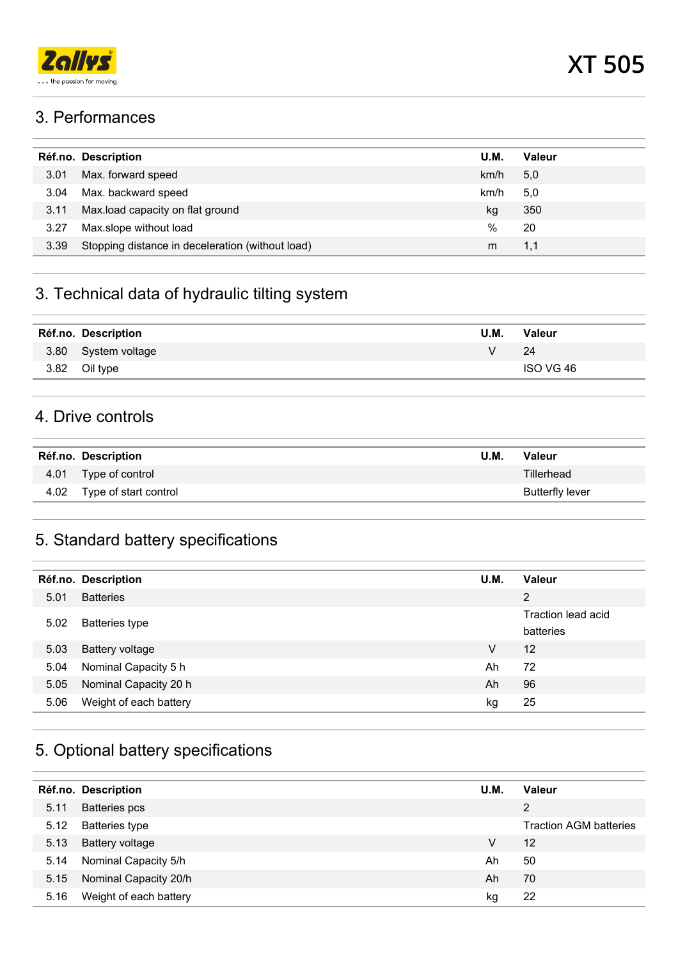

#### 3. Performances

|      | Réf.no. Description                              | U.M. | Valeur |
|------|--------------------------------------------------|------|--------|
| 3.01 | Max. forward speed                               | km/h | 5,0    |
| 3.04 | Max. backward speed                              | km/h | 5,0    |
| 3.11 | Max.load capacity on flat ground                 | kg   | 350    |
| 3.27 | Max.slope without load                           | %    | 20     |
| 3.39 | Stopping distance in deceleration (without load) | m    | 1,1    |
|      |                                                  |      |        |

## 3. Technical data of hydraulic tilting system

| Réf.no. Description | <b>U.M.</b> | <b>Valeur</b> |
|---------------------|-------------|---------------|
| 3.80 System voltage | v           | 24            |
| 3.82 Oil type       |             | ISO VG 46     |
|                     |             |               |

#### 4. Drive controls

| Réf.no. Description        | U.M. | Valeur          |
|----------------------------|------|-----------------|
| 4.01 Type of control       |      | Tillerhead      |
| 4.02 Type of start control |      | Butterfly lever |

#### 5. Standard battery specifications

|      | Réf.no. Description    | U.M. | Valeur                          |
|------|------------------------|------|---------------------------------|
| 5.01 | <b>Batteries</b>       |      | 2                               |
| 5.02 | <b>Batteries type</b>  |      | Traction lead acid<br>batteries |
| 5.03 | <b>Battery voltage</b> | V    | 12                              |
| 5.04 | Nominal Capacity 5 h   | Ah   | 72                              |
| 5.05 | Nominal Capacity 20 h  | Ah   | 96                              |
| 5.06 | Weight of each battery | kg   | 25                              |

## 5. Optional battery specifications

|      | Réf.no. Description    | U.M. | <b>Valeur</b>                 |
|------|------------------------|------|-------------------------------|
| 5.11 | <b>Batteries</b> pcs   |      | 2                             |
| 5.12 | <b>Batteries type</b>  |      | <b>Traction AGM batteries</b> |
| 5.13 | Battery voltage        | V    | 12                            |
| 5.14 | Nominal Capacity 5/h   | Ah   | 50                            |
| 5.15 | Nominal Capacity 20/h  | Ah   | 70                            |
| 5.16 | Weight of each battery | kg   | 22                            |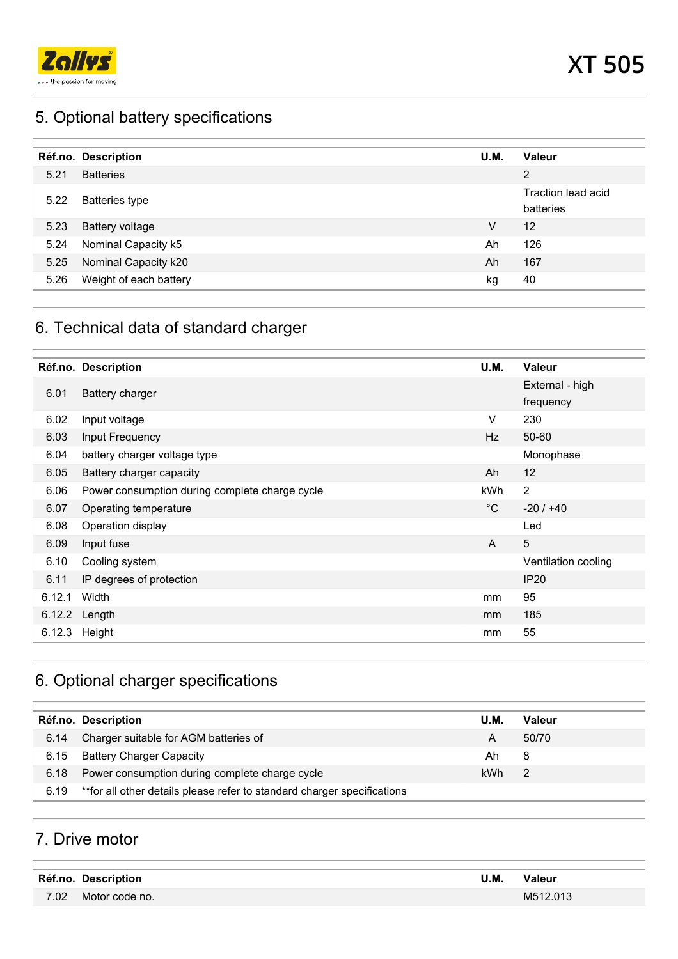

## 5. Optional battery specifications

|      | Réf.no. Description    | U.M. | <b>Valeur</b>                   |
|------|------------------------|------|---------------------------------|
| 5.21 | <b>Batteries</b>       |      | 2                               |
| 5.22 | <b>Batteries type</b>  |      | Traction lead acid<br>batteries |
| 5.23 | <b>Battery voltage</b> | v    | 12                              |
| 5.24 | Nominal Capacity k5    | Ah   | 126                             |
| 5.25 | Nominal Capacity k20   | Ah   | 167                             |
| 5.26 | Weight of each battery | kg   | 40                              |

## 6. Technical data of standard charger

|        | Réf.no. Description                            | U.M.         | Valeur                       |
|--------|------------------------------------------------|--------------|------------------------------|
| 6.01   | <b>Battery charger</b>                         |              | External - high<br>frequency |
| 6.02   | Input voltage                                  | V            | 230                          |
| 6.03   | Input Frequency                                | Hz           | $50 - 60$                    |
| 6.04   | battery charger voltage type                   |              | Monophase                    |
| 6.05   | Battery charger capacity                       | Ah           | 12                           |
| 6.06   | Power consumption during complete charge cycle | kWh          | $\overline{2}$               |
| 6.07   | Operating temperature                          | $^{\circ}$ C | $-20/140$                    |
| 6.08   | Operation display                              |              | Led                          |
| 6.09   | Input fuse                                     | $\mathsf{A}$ | $5\phantom{.}$               |
| 6.10   | Cooling system                                 |              | Ventilation cooling          |
| 6.11   | IP degrees of protection                       |              | <b>IP20</b>                  |
| 6.12.1 | Width                                          | mm           | 95                           |
|        | 6.12.2 Length                                  | mm           | 185                          |
|        | 6.12.3 Height                                  | mm           | 55                           |

## 6. Optional charger specifications

|      | Réf.no. Description                                                      | U.M. | Valeur |
|------|--------------------------------------------------------------------------|------|--------|
| 6.14 | Charger suitable for AGM batteries of                                    | А    | 50/70  |
| 6.15 | <b>Battery Charger Capacity</b>                                          | Ah.  | 8      |
| 6.18 | Power consumption during complete charge cycle                           | kWh  | 2      |
| 6.19 | ** for all other details please refer to standard charger specifications |      |        |
|      |                                                                          |      |        |

#### 7. Drive motor

| Réf.no. Description | U.M. | <b>Valeur</b> |
|---------------------|------|---------------|
| 7.02 Motor code no. |      | M512.013      |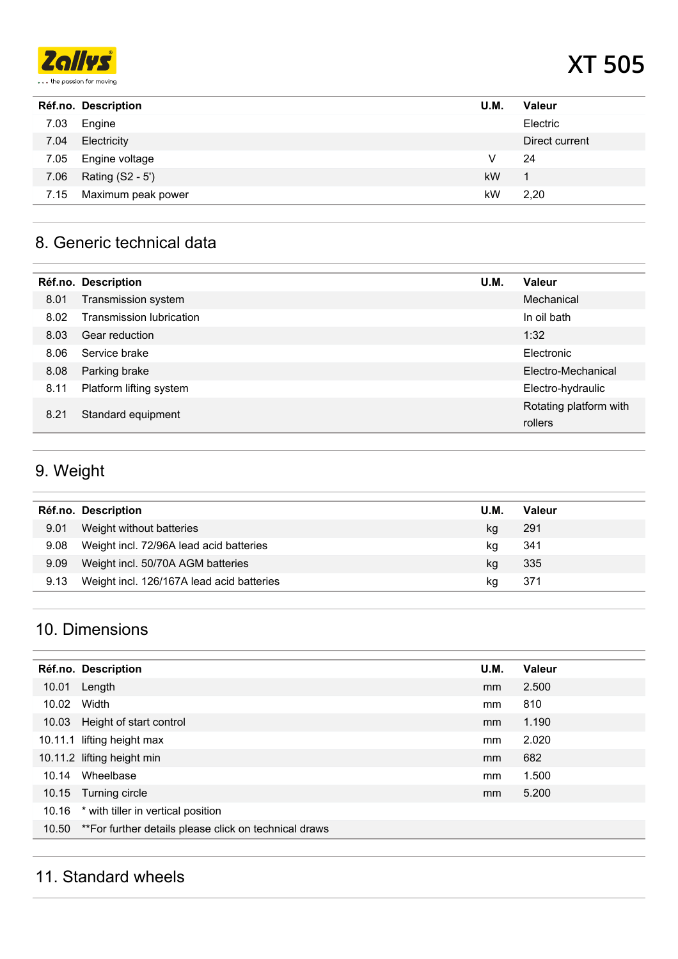

# **XT 505**

|      | Réf.no. Description | U.M. | Valeur         |
|------|---------------------|------|----------------|
| 7.03 | Engine              |      | Electric       |
| 7.04 | Electricity         |      | Direct current |
| 7.05 | Engine voltage      | V    | 24             |
| 7.06 | Rating (S2 - 5')    | kW   | 1              |
| 7.15 | Maximum peak power  | kW   | 2.20           |
|      |                     |      |                |

#### 8. Generic technical data

|      | Réf.no. Description      | U.M. | Valeur                            |
|------|--------------------------|------|-----------------------------------|
| 8.01 | Transmission system      |      | Mechanical                        |
| 8.02 | Transmission lubrication |      | In oil bath                       |
| 8.03 | Gear reduction           |      | 1:32                              |
| 8.06 | Service brake            |      | Electronic                        |
| 8.08 | Parking brake            |      | Electro-Mechanical                |
| 8.11 | Platform lifting system  |      | Electro-hydraulic                 |
| 8.21 | Standard equipment       |      | Rotating platform with<br>rollers |

## 9. Weight

|      | Réf.no. Description                       | <b>U.M.</b> | Valeur |
|------|-------------------------------------------|-------------|--------|
| 9.01 | Weight without batteries                  | kg          | 291    |
| 9.08 | Weight incl. 72/96A lead acid batteries   | kg          | 341    |
| 9.09 | Weight incl. 50/70A AGM batteries         | kg          | 335    |
| 9.13 | Weight incl. 126/167A lead acid batteries | kq          | 371    |

#### 10. Dimensions

|       | Réf.no. Description                                          | U.M. | Valeur |
|-------|--------------------------------------------------------------|------|--------|
| 10.01 | Length                                                       | mm   | 2.500  |
| 10.02 | Width                                                        | mm   | 810    |
|       | 10.03 Height of start control                                | mm   | 1.190  |
|       | 10.11.1 lifting height max                                   | mm   | 2.020  |
|       | 10.11.2 lifting height min                                   | mm   | 682    |
| 10.14 | Wheelbase                                                    | mm   | 1.500  |
|       | 10.15 Turning circle                                         | mm   | 5.200  |
|       | 10.16 * with tiller in vertical position                     |      |        |
|       | 10.50 ** For further details please click on technical draws |      |        |

#### 11. Standard wheels